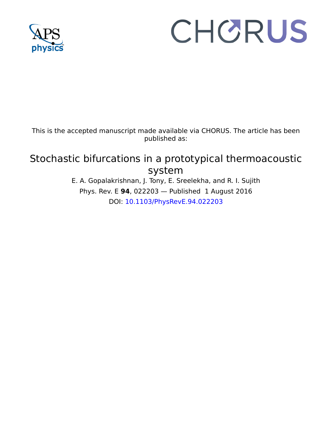

# CHORUS

This is the accepted manuscript made available via CHORUS. The article has been published as:

# Stochastic bifurcations in a prototypical thermoacoustic system

E. A. Gopalakrishnan, J. Tony, E. Sreelekha, and R. I. Sujith Phys. Rev. E **94**, 022203 — Published 1 August 2016 DOI: [10.1103/PhysRevE.94.022203](http://dx.doi.org/10.1103/PhysRevE.94.022203)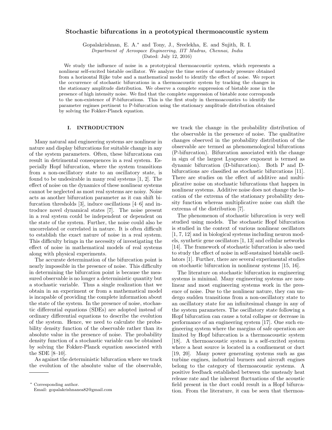## Stochastic bifurcations in a prototypical thermoacoustic system

Gopalakrishnan, E. A.<sup>∗</sup> and Tony, J., Sreelekha, E. and Sujith, R. I.

Department of Aerospace Engineering, IIT Madras, Chennai, India

(Dated: July 12, 2016)

We study the influence of noise in a prototypical thermoacoustic system, which represents a nonlinear self-excited bistable oscillator. We analyze the time series of unsteady pressure obtained from a horizontal Rijke tube and a mathematical model to identify the effect of noise. We report the occurrence of stochastic bifurcations in a thermoacoustic system by tracking the changes in the stationary amplitude distribution. We observe a complete suppression of bistable zone in the presence of high intensity noise. We find that the complete suppression of bistable zone corresponds to the non-existence of P-bifurcations. This is the first study in thermoacoustics to identify the parameter regimes pertinent to P-bifurcation using the stationary amplitude distribution obtained by solving the Fokker-Planck equation.

#### I. INTRODUCTION

Many natural and engineering systems are nonlinear in nature and display bifurcations for suitable change in any of the system parameters. Often, these bifurcations can result in detrimental consequences in a real system. Especially Hopf bifurcation, where the system transitions from a non-oscillatory state to an oscillatory state, is found to be undesirable in many real systems [1, 2]. The effect of noise on the dynamics of these nonlinear systems cannot be neglected as most real systems are noisy. Noise acts as another bifurcation parameter as it can shift bifurcation thresholds [3], induce oscillations [4–6] and introduce novel dynamical states [7]. The noise present in a real system could be independent or dependent on the state of the system. Further, the noise could also be uncorrelated or correlated in nature. It is often difficult to establish the exact nature of noise in a real system. This difficulty brings in the necessity of investigating the effect of noise in mathematical models of real systems along with physical experiments.

The accurate determination of the bifurcation point is nearly impossible in the presence of noise. This difficulty in determining the bifurcation point is because the measured observable is no longer a deterministic quantity but a stochastic variable. Thus a single realization that we obtain in an experiment or from a mathematical model is incapable of providing the complete information about the state of the system. In the presence of noise, stochastic differential equations (SDEs) are adopted instead of ordinary differential equations to describe the evolution of the system. Hence, we need to calculate the probability density function of the observable rather than its absolute value in the presence of noise. The probability density function of a stochastic variable can be obtained by solving the Fokker-Planck equation associated with the SDE [8–10].

As against the deterministic bifurcation where we track the evolution of the absolute value of the observable,

we track the change in the probability distribution of the observable in the presence of noise. The qualitative changes observed in the probability distribution of the observable are termed as phenomenological bifurcations (P-bifurcation). Bifurcation associated with the change in sign of the largest Lyapunov exponent is termed as dynamic bifurcation (D-bifurcation). Both P and Dbifurcations are classified as stochastic bifurcations [11]. There are studies on the effect of additive and multiplicative noise on stochastic bifurcations that happen in nonlinear systems. Additive noise does not change the location of the extrema of the stationary probability density function whereas multiplicative noise can shift the extrema of the distribution [7].

The phenomenon of stochastic bifurcation is very well studied using models. The stochastic Hopf bifurcation is studied in the context of various nonlinear oscillators [1, 7, 12] and in biological systems including neuron models, synthetic gene oscillators [1, 13] and cellular networks [14]. The framework of stochastic bifurcation is also used to study the effect of noise in self-sustained bistable oscillators [1]. Further, there are several experimental studies on stochastic bifurcation in nonlinear systems [15, 16].

The literature on stochastic bifurcation in engineering systems is minimal. Many engineering systems are nonlinear and most engineering systems work in the presence of noise. Due to the nonlinear nature, they can undergo sudden transitions from a non-oscillatory state to an oscillatory state for an infinitesimal change in any of the system parameters. The oscillatory state following a Hopf bifurcation can cause a total collapse or decrease in performance of an engineering system [17]. One such engineering system where the margins of safe operation are limited by Hopf bifurcation is a thermoacoustic system [18]. A thermoacoustic system is a self-excited system where a heat source is located in a confinement or duct [19, 20]. Many power generating systems such as gas turbine engines, industrial burners and aircraft engines belong to the category of thermoacoustic systems. A positive feedback established between the unsteady heat release rate and the inherent fluctuations of the acoustic field present in the duct could result in a Hopf bifurcation. From the literature, it can be seen that thermoa-

<sup>∗</sup> Corresponding author. Email: gopalakrishnanea82@gmail.com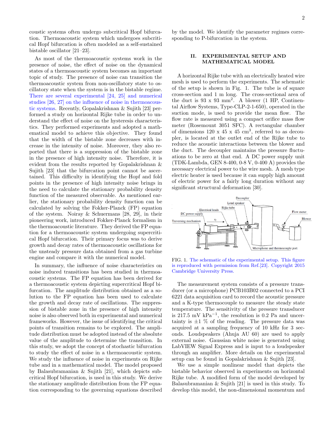coustic systems often undergo subcritical Hopf bifurcation. Thermoacoustic system which undergoes subcritical Hopf bifurcation is often modeled as a self-sustained bistable oscillator [21–23].

As most of the thermoacoustic systems work in the presence of noise, the effect of noise on the dynamical states of a thermoacoustic system becomes an important topic of study. The presence of noise can transition the thermoacoustic system from non-oscillatory state to oscillatory state when the system is in the bistable regime. There are several experimental [24, 25] and numerical studies [26, 27] on the influence of noise in thermoacoustic systems. Recently, Gopalakrishnan & Sujith [23] performed a study on horizontal Rijke tube in order to understand the effect of noise on the hysteresis characteristics. They performed experiments and adopted a mathematical model to achieve this objective. They found that the width of the bistable zone decreases with increase in the intensity of noise. Moreover, they also reported that there is a suppression of the bistable zone in the presence of high intensity noise. Therefore, it is evident from the results reported by Gopalakrishnan & Sujith [23] that the bifurcation point cannot be ascertained. This difficulty in identifying the Hopf and fold points in the presence of high intensity noise brings in the need to calculate the stationary probability density function of the measured observable. As mentioned earlier, the stationary probability density function can be calculated by solving the Fokker-Planck (FP) equation of the system. Noiray & Schuermans [28, 29], in their pioneering work, introduced Fokker-Planck formalism in the thermoacoustic literature. They derived the FP equation for a thermoacoustic system undergoing supercritical Hopf bifurcation. Their primary focus was to derive growth and decay rates of thermoacoustic oscillations for the unsteady pressure data obtained from a gas turbine engine and compare it with the numerical model.

In summary, the influence of noise characteristics on noise induced transitions has been studied in thermoacoustic systems. The FP equation has been derived for a thermoacoustic system depicting supercritical Hopf bifurcation. The amplitude distribution obtained as a solution to the FP equation has been used to calculate the growth and decay rate of oscillations. The suppression of bistable zone in the presence of high intensity noise is also observed both in experimental and numerical frameworks. However, the issue of identifying the critical points of transition remains to be explored. The amplitude distribution must be adopted instead of the absolute value of the amplitude to determine the transition. In this study, we adopt the concept of stochastic bifurcation to study the effect of noise in a thermoacoustic system. We study the influence of noise in experiments on Rijke tube and in a mathematical model. The model proposed by Balasubramanian & Sujith [21], which depicts subcritical Hopf bifurcation, is used in this study. We derive the stationary amplitude distribution from the FP equation corresponding to the governing equations described

by the model. We identify the parameter regimes corresponding to P-bifurcation in the system.

#### II. EXPERIMENTAL SETUP AND MATHEMATICAL MODEL

A horizontal Rijke tube with an electrically heated wire mesh is used to perform the experiments. The schematic of the setup is shown in Fig. 1. The tube is of square cross-section and 1 m long. The cross-sectional area of the duct is 93 x 93 mm<sup>2</sup> . A blower (1 HP, Continental Airflow Systems, Type-CLP-2-1-650), operated in the suction mode, is used to provide the mean flow. The flow rate is measured using a compact orifice mass flow meter (Rosemount 3051 SFC). A rectangular chamber of dimensions  $120 \times 45 \times 45 \text{ cm}^3$ , referred to as decoupler, is located at the outlet end of the Rijke tube to reduce the acoustic interactions between the blower and the duct. The decoupler maintains the pressure fluctuations to be zero at that end. A DC power supply unit (TDK-Lambda, GEN 8-400, 0-8 V, 0-400 A) provides the necessary electrical power to the wire mesh. A mesh type electric heater is used because it can supply high amount of electric power for a fairly long duration without any significant structural deformation [30].



FIG. 1. The schematic of the experimental setup. This figure is reproduced with permission from Ref.[23]. Copyright 2015 Cambridge University Press.

The measurement system consists of a pressure transducer (or a microphone) PCB103B02 connected to a PCI 6221 data acquisition card to record the acoustic pressure and a K-type thermocouple to measure the steady state temperature. The sensitivity of the pressure transducer is 217.5 mV  $kPa^{-1}$ , the resolution is 0.2 Pa and uncertainty is  $\pm 1$  % of the reading. The pressure data was acquired at a sampling frequency of 10 kHz for 3 seconds. Loudspeakers (Ahuja AU 60) are used to apply external noise. Gaussian white noise is generated using LabVIEW Signal Express and is input to a loudspeaker through an amplifier. More details on the experimental setup can be found in Gopalakrishnan & Sujith [23].

We use a simple nonlinear model that depicts the bistable behavior observed in experiments on horizontal Rijke tube. A modified form of the model developed by Balasubramanian & Sujith [21] is used in this study. To develop this model, the non-dimensional momentum and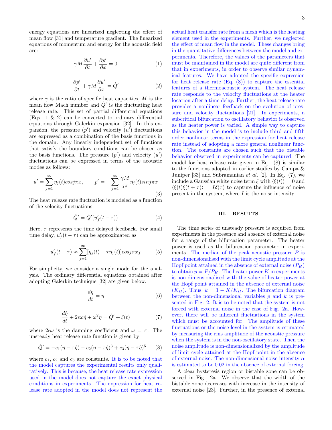energy equations are linearized neglecting the effect of mean flow [31] and temperature gradient. The linearized equations of momentum and energy for the acoustic field

are:

$$
\gamma M \frac{\partial u'}{\partial t} + \frac{\partial p'}{\partial x} = 0 \tag{1}
$$

$$
\frac{\partial p'}{\partial t} + \gamma M \frac{\partial u'}{\partial x} = \dot{Q}' \tag{2}
$$

where  $\gamma$  is the ratio of specific heat capacities, M is the mean flow Mach number and  $\dot{Q}'$  is the fluctuating heat release rate. This set of partial differential equations (Eqs. 1  $\&$  2) can be converted to ordinary differential equations through Galerkin expansion [32]. In this expansion, the pressure  $(p')$  and velocity  $(u')$  fluctuations are expressed as a combination of the basis functions in the domain. Any linearly independent set of functions that satisfy the boundary conditions can be chosen as the basis functions. The pressure  $(p')$  and velocity  $(u')$ fluctuations can be expressed in terms of the acoustic modes as follows:

$$
u' = \sum_{j=1}^{\infty} \eta_j(t) \cos j\pi x, \qquad p' = -\sum_{j=1}^{\infty} \frac{\gamma M}{j\pi} \dot{\eta}_j(t) \sin j\pi x
$$
\n(3)

The heat release rate fluctuation is modeled as a function of the velocity fluctuations.

$$
\dot{Q}' = \dot{Q}'(u'_f(t-\tau))\tag{4}
$$

Here,  $\tau$  represents the time delayed feedback. For small time delay,  $u'_{f}(t-\tau)$  can be approximated as

$$
u_f'(t-\tau) \approx \sum_{j=1}^{\infty} [\eta_j(t) - \tau \dot{\eta}_j(t)] \cos j\pi x_f \tag{5}
$$

For simplicity, we consider a single mode for the analysis. The ordinary differential equations obtained after adopting Galerkin technique [32] are given below.

$$
\frac{d\eta}{dt} = \dot{\eta} \tag{6}
$$

$$
\frac{d\dot{\eta}}{dt} + 2\epsilon\omega\dot{\eta} + \omega^2\eta = \dot{Q}' + \xi(t) \tag{7}
$$

where  $2\epsilon\omega$  is the damping coefficient and  $\omega = \pi$ . The unsteady heat release rate function is given by

$$
\dot{Q}' = -c_1(\eta - \tau \dot{\eta}) - c_2(\eta - \tau \dot{\eta})^3 + c_3(\eta - \tau \dot{\eta})^5 \qquad (8)
$$

where  $c_1$ ,  $c_2$  and  $c_3$  are constants. It is to be noted that the model captures the experimental results only qualitatively. This is because, the heat release rate expression used in the model does not capture the exact physical conditions in experiments. The expression for heat release rate adopted in the model does not represent the actual heat transfer rate from a mesh which is the heating element used in the experiments. Further, we neglected the effect of mean flow in the model. These changes bring in the quantitative differences between the model and experiments. Therefore, the values of the parameters that must be maintained in the model are quite different from that in experiments, in order to observe similar dynamical features. We have adopted the specific expression for heat release rate  $(Eq. (8))$  to capture the essential features of a thermoacoustic system. The heat release rate responds to the velocity fluctuations at the heater location after a time delay. Further, the heat release rate provides a nonlinear feedback on the evolution of pressure and velocity fluctuations [21]. In experiments, a subcritical bifurcation to oscillatory behavior is observed as the heater power is varied. A simple way to capture this behavior in the model is to include third and fifth order nonlinear terms in the expression for heat release rate instead of adopting a more general nonlinear function. The constants are chosen such that the bistable behavior observed in experiments can be captured. The model for heat release rate given in Eq. (8) is similar to the functions adopted in earlier studies by Campa & Juniper [33] and Subramanian  $et \ al.$  [2]. In Eq. (7), we include a Gaussian white noise term  $\xi$  with  $\langle \xi(t) \rangle = 0$  and  $\langle \xi(t)\xi(t + \tau) \rangle = I\delta(\tau)$  to capture the influence of noise present in the system, where I is the noise intensity.

#### III. RESULTS

The time series of unsteady pressure is acquired from experiments in the presence and absence of external noise for a range of the bifurcation parameter. The heater power is used as the bifurcation parameter in experiments. The median of the peak acoustic pressure  $P$  is non-dimensionalised with the limit cycle amplitude at the Hopf point attained in the absence of external noise  $(P_H)$ to obtain  $p = P/P_H$ . The heater power K in experiments is non-dimensionalised with the value of heater power at the Hopf point attained in the absence of external noise  $(K_H)$ . Thus,  $k = 1 - K/K_H$ . The bifurcation diagram between the non-dimensional variables  $p$  and  $k$  is presented in Fig. 2. It is to be noted that the system is not forced with external noise in the case of Fig. 2a. However, there will be inherent fluctuations in the system which must be accounted for. The amplitude of these fluctuations or the noise level in the system is estimated by measuring the rms amplitude of the acoustic pressure when the system is in the non-oscillatory state. Then the noise amplitude is non-dimensionalized by the amplitude of limit cycle attained at the Hopf point in the absence of external noise. The non-dimensional noise intensity  $\alpha$ is estimated to be 0.02 in the absence of external forcing.

A clear hysteresis region or bistable zone can be observed in Fig. 2a. We observe that the width of the bistable zone decreases with increase in the intensity of external noise [23]. Further, in the presence of external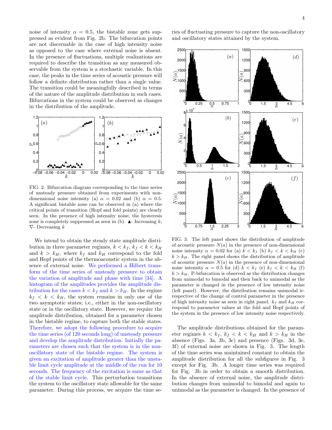noise of intensity  $\alpha = 0.5$ , the bistable zone gets suppressed as evident from Fig. 2b. The bifurcation points are not discernable in the case of high intensity noise as opposed to the case where external noise is absent. In the presence of fluctuations, multiple realizations are required to describe the transition as any measured observable from the system is a stochastic variable. In this case, the peaks in the time series of acoustic pressure will follow a definite distribution rather than a single value. The transition could be meaningfully described in terms of the nature of the amplitude distribution in such cases. Bifurcations in the system could be observed as changes in the distribution of the amplitude.



FIG. 2. Bifurcation diagram corresponding to the time series of unsteady pressure obtained from experiments with nondimensional noise intensity (a)  $\alpha = 0.02$  and (b)  $\alpha = 0.5$ . A significant bistable zone can be observed in (a) where the critical points of transition (Hopf and fold points) are clearly seen. In the presence of high intensity noise, the hysteresis zone is completely suppressed as seen in (b).  $\blacktriangle$ - Increasing k;  $\nabla$ - Decreasing  $k$ 

We intend to obtain the steady state amplitude distribution in three parameter regimes,  $k < k_f$ ,  $k_f < k < k_H$ and  $k > k_H$ , where  $k_f$  and  $k_H$  correspond to the fold and Hopf points of the thermoacoustic system in the absence of external noise. We performed a Hilbert transform of the time series of unsteady pressure to obtain the variation of amplitude and phase with time [34]. A histogram of the amplitudes provides the amplitude distribution for the cases  $k < k_f$  and  $k > k_H$ . In the regime  $k_f < k \, \langle k_H, \rangle$  the system remains in only one of the two asymptotic states; i.e., either in the non-oscillatory state or in the oscillatory state. However, we require the amplitude distribution, obtained for a parameter chosen in the bistable regime, to capture both the stable states. Therefore, we adopt the following procedure to acquire the time series (of 120 seconds long) of unsteady pressure and develop the amplitude distribution. Initially the parameters are chosen such that the system is in the nonoscillatory state of the bistable regime. The system is given an excitation of amplitude greater than the unstable limit cycle amplitude at the middle of the run for 10 seconds. The frequency of the excitation is same as that of the stable limit cycle. This perturbation transitions the system to the oscillatory state allowable for the same parameter. During this process, we acquire the time series of fluctuating pressure to capture the non-oscillatory and oscillatory states attained by the system.



FIG. 3. The left panel shows the distribution of amplitude of acoustic pressure  $N(a)$  in the presence of non-dimensional noise intensity  $\alpha = 0.02$  for (a)  $k < k_f$  (b)  $k_f < k < k_H$  (c)  $k > k_H$ . The right panel shows the distribution of amplitude of acoustic pressure  $N(a)$  in the presence of non-dimensional noise intensity  $\alpha = 0.5$  for (d)  $k < k_f$  (e)  $k_f < k < k_H$  (f)  $k > k_H$ . P-bifurcation is observed as the distribution changes from unimodal to bimodal and then back to unimodal as the parameter is changed in the presence of low intensity noise (left panel). However, the distribution remains unimodal irrespective of the change of control parameter in the presence of high intensity noise as seen in right panel.  $k_f$  and  $k_H$  correspond to parameter values at the fold and Hopf points of the system in the presence of low intensity noise respectively.

The amplitude distributions obtained for the parameter regimes  $k < k_f$ ,  $k_f < k < k_H$  and  $k > k_H$  in the absence (Figs. 3a, 3b, 3c) and presence (Figs. 3d, 3e, 3f) of external noise are shown in Fig. 3. The length of the time series was maintained constant to obtain the amplitude distribution for all the subfigures in Fig. 3 except for Fig. 3b. A longer time series was required for Fig. 3b in order to obtain a smooth distribution. In the absence of external noise, the amplitude distribution changes from unimodal to bimodal and again to unimodal as the parameter is changed. In the presence of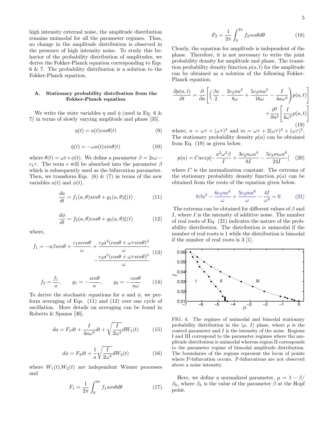high intensity external noise, the amplitude distribution remains unimodal for all the parameter regimes. Thus, no change in the amplitude distribution is observed in the presence of high intensity noise. To study this behavior of the probability distribution of amplitudes, we derive the Fokker-Planck equation corresponding to Eqs. 6 & 7. The probability distribution is a solution to the Fokker-Planck equation.

### A. Stationary probability distribution from the Fokker-Planck equation

We write the state variables  $\eta$  and  $\dot{\eta}$  (used in Eq. 6 & 7) in terms of slowly varying amplitude and phase [35].

$$
\eta(t) = a(t)\cos\theta(t) \tag{9}
$$

$$
\dot{\eta}(t) = -\omega a(t) \sin \theta(t) \tag{10}
$$

where  $\theta(t) = \omega t + \phi(t)$ . We define a parameter  $\beta = 2\epsilon\omega$  $c_1\tau$ . The term  $\epsilon$  will be absorbed into the parameter  $\beta$ which is subsequently used as the bifurcation parameter. Then, we transform Eqs.  $(6)$  &  $(7)$  in terms of the new variables  $a(t)$  and  $\phi(t)$ .

$$
\frac{da}{dt} = f_1(a,\theta)\sin\theta + g_1(a,\theta)\xi(t) \tag{11}
$$

$$
\frac{d\phi}{dt} = f_2(a,\theta)cos\theta + g_2(a,\theta)\xi(t) \tag{12}
$$

where,

$$
f_1 = -a\beta \sin\theta + \frac{c_1 a \cos\theta}{\omega} + \frac{c_2 a^3 (\cos\theta + \omega \tau \sin\theta)^3}{\omega} - \frac{c_3 a^5 (\cos\theta + \omega \tau \sin\theta)^5}{\omega} \tag{13}
$$

$$
f_2 = \frac{f_1}{a}, \qquad g_1 = -\frac{\sin \theta}{a}, \qquad g_2 = -\frac{\cos \theta}{a\omega} \tag{14}
$$

To derive the stochastic equations for a and  $\phi$ , we perform averaging of Eqs. (11) and (12) over one cycle of oscillation. More details on averaging can be found in Roberts & Spanos [36].

$$
da = F_1 dt + \frac{I}{4a\omega^2} dt + \sqrt{\frac{I}{2\omega^2}} dW_1(t) \tag{15}
$$

$$
d\phi = F_2 dt + \frac{1}{a} \sqrt{\frac{I}{2\omega^2}} dW_2(t)
$$
 (16)

where  $W_1(t)$ ,  $W_2(t)$  are independent Wiener processes and

$$
F_1 = \frac{1}{2\pi} \int_0^{2\pi} f_1 \sin\theta d\theta \tag{17}
$$

$$
F_2 = \frac{1}{2\pi} \int_0^{2\pi} f_2 \cos\theta d\theta \tag{18}
$$

Clearly, the equation for amplitude is independent of the phase. Therefore, it is not necessary to write the joint probability density for amplitude and phase. The transition probability density function  $p(a, t)$  for the amplitude can be obtained as a solution of the following Fokker-Planck equation.

$$
\frac{\partial p(a,t)}{\partial t} = \frac{\partial}{\partial a} \left[ \left( \frac{\beta a}{2} - \frac{3c_2 n a^3}{8\omega} + \frac{5c_3 m a^5}{16\omega} - \frac{I}{4a\omega^2} \right) p(a,t) \right] + \frac{\partial^2}{\partial a^2} \left[ \frac{I}{4\omega^2} p(a,t) \right]
$$
(19)

where,  $n = \omega \tau + (\omega \tau)^3$  and  $m = \omega \tau + 2(\omega \tau)^3 + (\omega \tau)^5$ . The stationary probability density  $p(a)$  can be obtained from Eq. (19) as given below.

$$
p(a) = Caexp[-\frac{a^2\omega^2\beta}{I} + \frac{3c_2n\omega a^4}{8I} - \frac{5c_3m\omega a^6}{24I}] \quad (20)
$$

where  $C$  is the normalization constant. The extrema of the stationary probability density function  $p(a)$  can be obtained from the roots of the equation given below.

$$
8\beta a^2 - \frac{6c_2na^4}{\omega} + \frac{5c_3ma^6}{\omega} - \frac{4I}{\omega^2} = 0
$$
 (21)

The extrema can be obtained for different values of  $\beta$  and I, where I is the intensity of additive noise. The number of real roots of Eq. (21) indicates the nature of the probability distribution. The distribution is unimodal if the number of real roots is 1 while the distribution is bimodal if the number of real roots is 3 [1].



FIG. 4. The regimes of unimodal and bimodal stationary probability distribution in the  $(\mu, I)$  plane, where  $\mu$  is the control parameter and  $I$  is the intensity of the noise. Regions I and III correspond to the parameter regimes where the amplitude distribution is unimodal whereas region II corresponds to the parameter regime of bimodal amplitude distribution. The boundaries of the regions represent the locus of points where P-bifurcation occurs. P-bifurcations are not observed above a noise intensity.

Here, we define a normalized parameter,  $\mu = 1 - \beta$  $\beta_h$ , where  $\beta_h$  is the value of the parameter  $\beta$  at the Hopf point.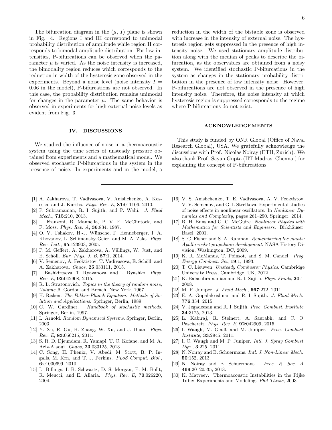The bifurcation diagram in the  $(\mu, I)$  plane is shown in Fig. 4. Regions I and III correspond to unimodal probability distribution of amplitude while region II corresponds to bimodal amplitude distribution. For low intensities, P-bifurcations can be observed when the parameter  $\mu$  is varied. As the noise intensity is increased, the bimodality region reduces which corresponds to the reduction in width of the hysteresis zone observed in the experiments. Beyond a noise level (noise intensity  $I =$ 0.06 in the model), P-bifurcations are not observed. In this case, the probability distribution remains unimodal for changes in the parameter  $\mu$ . The same behavior is observed in experiments for high external noise levels as evident from Fig. 3.

#### IV. DISCUSSIONS

We studied the influence of noise in a thermoacoustic system using the time series of unsteady pressure obtained from experiments and a mathematical model. We observed stochastic P-bifurcations in the system in the presence of noise. In experiments and in the model, a

- [1] A. Zakharova, T. Vadivasova, V. Anishchenko, A. Koseska, and J. Kurths. Phys. Rev. E, 81:011106, 2010.
- [2] P. Subramanian, R. I. Sujith, and P. Wahi. J. Fluid Mech., 715:210, 2013.
- [3] L. Franzoni, R. Mannella, P. V. E. McClintock, and F. Moss. Phys. Rev. A, 36:834, 1987.
- [4] O. V. Ushakov, H.-J. Wünsche, F. Henneberger, I. A. Khovanov, L. Schimansky-Geier, and M. A. Zaks. Phys. Rev. Lett., 95:123903, 2005.
- [5] P. M. Geffert, A. Zakharova, A. Vüllings, W. Just, and E. Schöll. Eur. Phys. J. B, 87:1, 2014.
- [6] V. Semenov, A. Feoktistov, T. Vadivasova, E. Schöll, and A. Zakharova. Chaos, 25:033111, 2015.
- [7] I. Bashkirtseva, T. Ryazanova, and L. Ryashko. Phys. Rev. E, 92:042908, 2015.
- [8] R. L. Stratonovich. Topics in the theory of random noise, Volume 2. Gordon and Breach, New York, 1967.
- [9] H. Risken. The Fokker-Planck Equation: Methods of Solution and Applications. Springer, Berlin, 1989.
- [10] C. W. Gardiner. Handbook of stochastic methods. Springer, Berlin, 1997.
- [11] L. Arnold. Random Dynamical Systems. Springer, Berlin, 2003.
- [12] Y. Xu, R. Gu, H. Zhang, W. Xu, and J. Duan. Phys. Rev. E, 83:056215, 2011.
- [13] S. R. D. Djeundam, R. Yamapi, T. C. Kofane, and M. A. Aziz-Alaoui. Chaos, 23:033125, 2013.
- [14] C. Song, H. Phenix, V. Abedi, M. Scott, B. P. Ingalls, M. Krn, and T. J. Perkins. PLoS Comput. Biol., 6:e1000699, 2010.
- [15] L. Billings, I. B. Schwartz, D. S. Morgan, E. M. Bollt, R. Meucci, and E. Allaria. Phys. Rev. E, 70:026220, 2004.

reduction in the width of the bistable zone is observed with increase in the intensity of external noise. The hysteresis region gets suppressed in the presence of high intensity noise. We used stationary amplitude distribution along with the median of peaks to describe the bifurcation, as the observables are obtained from a noisy system. We identified stochastic P-bifurcations in the system as changes in the stationary probability distribution in the presence of low intensity noise. However, P-bifurcations are not observed in the presence of high intensity noise. Therefore, the noise intensity at which hysteresis region is suppressed corresponds to the regime

#### ACKNOWLEDGEMENTS

where P-bifurcations do not exist.

This study is funded by ONR Global (Office of Naval Research Global), USA. We gratefully acknowledge the discussions with Prof. Nicolas Noiray (ETH, Zurich). We also thank Prof. Sayan Gupta (IIT Madras, Chennai) for explaining the concept of P-bifurcations.

- [16] V. S. Anishchenko, T. E. Vadivasova, A. V. Feoktistov, V. V. Semenov, and G. I. Strelkova. Experimental studies of noise effects in nonlinear oscillators. In Nonlinear Dynamics and Complexity, pages 261–290. Springer, 2014.
- [17] R. H. Enns and G. C. McGuire. Nonlinear Physics with Mathematica for Scientists and Engineers. Birkhäuser, Basel, 2001.
- [18] S. C. Fisher and S. A. Rahman. *Remembering the giants:* Apollo rocket propulsion development. NASA History Division, Washington, DC, 2009.
- [19] K. R. McManus, T. Poinsot, and S. M. Candel. Prog. Energy Combust. Sci, 19:1, 1993.
- [20] T. C. Lieuwen. Unsteady Combustor Physics. Cambridge University Press, Cambridge, UK, 2012.
- [21] K. Balasubramanian and R. I. Sujith. *Phys. Fluids*, **20**:1, 2008.
- [22] M. P. Juniper. *J. Fluid Mech.*, **667**:272, 2011.
- [23] E. A. Gopalakrishnan and R. I. Sujith. J. Fluid Mech., 776:334, 2015.
- [24] V. Jegadeesan and R. I. Sujith. Proc. Combust. Institute, 34:3175, 2013.
- [25] L. Kabiraj, R. Steinert, A. Saurabh, and C. O. Paschereit. Phys. Rev. E, 92:042909, 2015.
- [26] I. Waugh, M. Geuß, and M. Juniper. Proc. Combust. Institute, 33:2945, 2011.
- [27] I. C. Waugh and M. P. Juniper. *Intl. J. Spray Combust.* Dyn., 3:225, 2011.
- [28] N. Noiray and B. Schuermans. *Intl. J. Non-Linear Mech.*, 50:152, 2013.
- [29] N. Noiray and B. Schuermans. Proc. R. Soc. A, 469:20120535, 2013.
- [30] K. Matveev. Thermoacoustic Instabilities in the Rijke Tube: Experiments and Modeling. Phd Thesis, 2003.